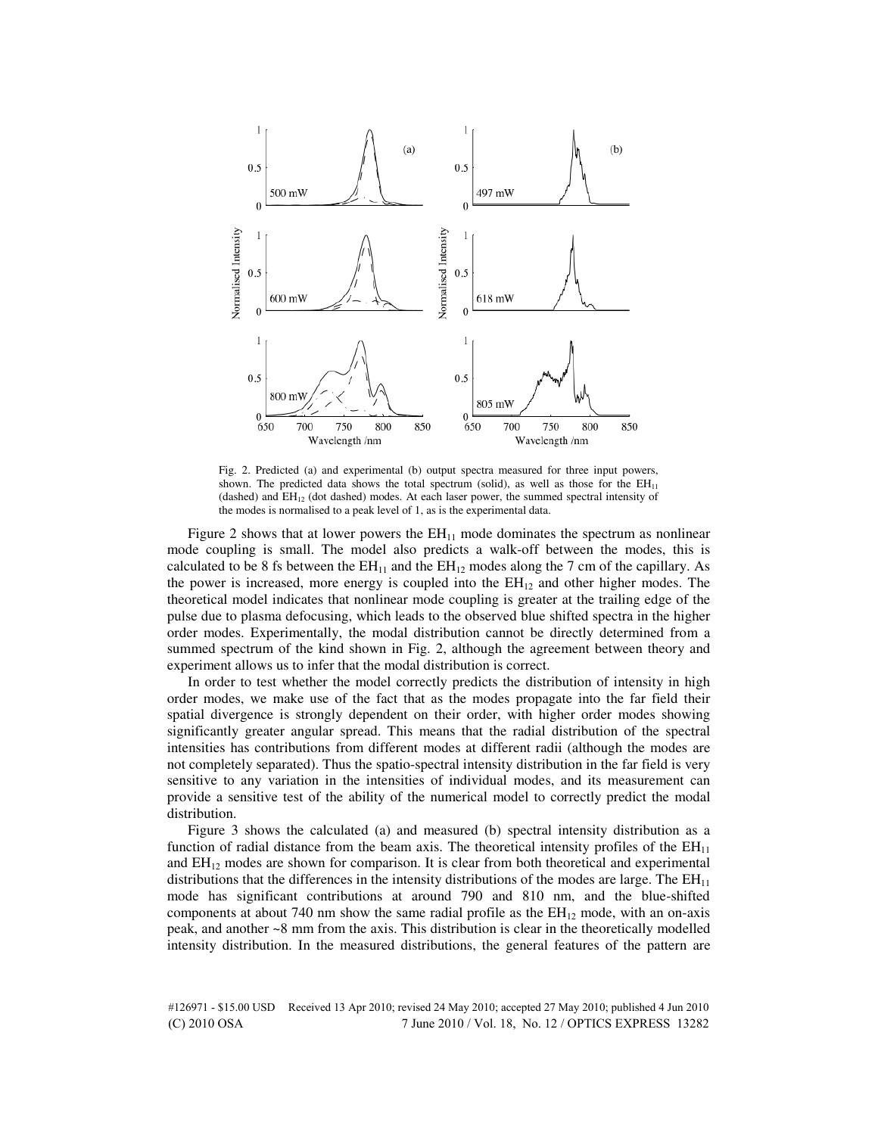

Fig. 2. Predicted (a) and experimental (b) output spectra measured for three input powers, shown. The predicted data shows the total spectrum (solid), as well as those for the  $EH_{11}$ (dashed) and EH12 (dot dashed) modes. At each laser power, the summed spectral intensity of the modes is normalised to a peak level of 1, as is the experimental data.

Figure 2 shows that at lower powers the  $EH<sub>11</sub>$  mode dominates the spectrum as nonlinear mode coupling is small. The model also predicts a walk-off between the modes, this is calculated to be 8 fs between the  $EH_{11}$  and the  $EH_{12}$  modes along the 7 cm of the capillary. As the power is increased, more energy is coupled into the  $EH_{12}$  and other higher modes. The theoretical model indicates that nonlinear mode coupling is greater at the trailing edge of the pulse due to plasma defocusing, which leads to the observed blue shifted spectra in the higher order modes. Experimentally, the modal distribution cannot be directly determined from a summed spectrum of the kind shown in Fig. 2, although the agreement between theory and experiment allows us to infer that the modal distribution is correct.

In order to test whether the model correctly predicts the distribution of intensity in high order modes, we make use of the fact that as the modes propagate into the far field their spatial divergence is strongly dependent on their order, with higher order modes showing significantly greater angular spread. This means that the radial distribution of the spectral intensities has contributions from different modes at different radii (although the modes are not completely separated). Thus the spatio-spectral intensity distribution in the far field is very sensitive to any variation in the intensities of individual modes, and its measurement can provide a sensitive test of the ability of the numerical model to correctly predict the modal distribution.

Figure 3 shows the calculated (a) and measured (b) spectral intensity distribution as a function of radial distance from the beam axis. The theoretical intensity profiles of the  $EH_{11}$ and  $EH_{12}$  modes are shown for comparison. It is clear from both theoretical and experimental distributions that the differences in the intensity distributions of the modes are large. The  $EH_{11}$ mode has significant contributions at around 790 and 810 nm, and the blue-shifted components at about 740 nm show the same radial profile as the  $EH_{12}$  mode, with an on-axis peak, and another ~8 mm from the axis. This distribution is clear in the theoretically modelled intensity distribution. In the measured distributions, the general features of the pattern are

#126971 - \$15.00 USD Received 13 Apr 2010; revised 24 May 2010; accepted 27 May 2010; published 4 Jun 2010 (C) 2010 OSA 7 June 2010 / Vol. 18, No. 12 / OPTICS EXPRESS 13282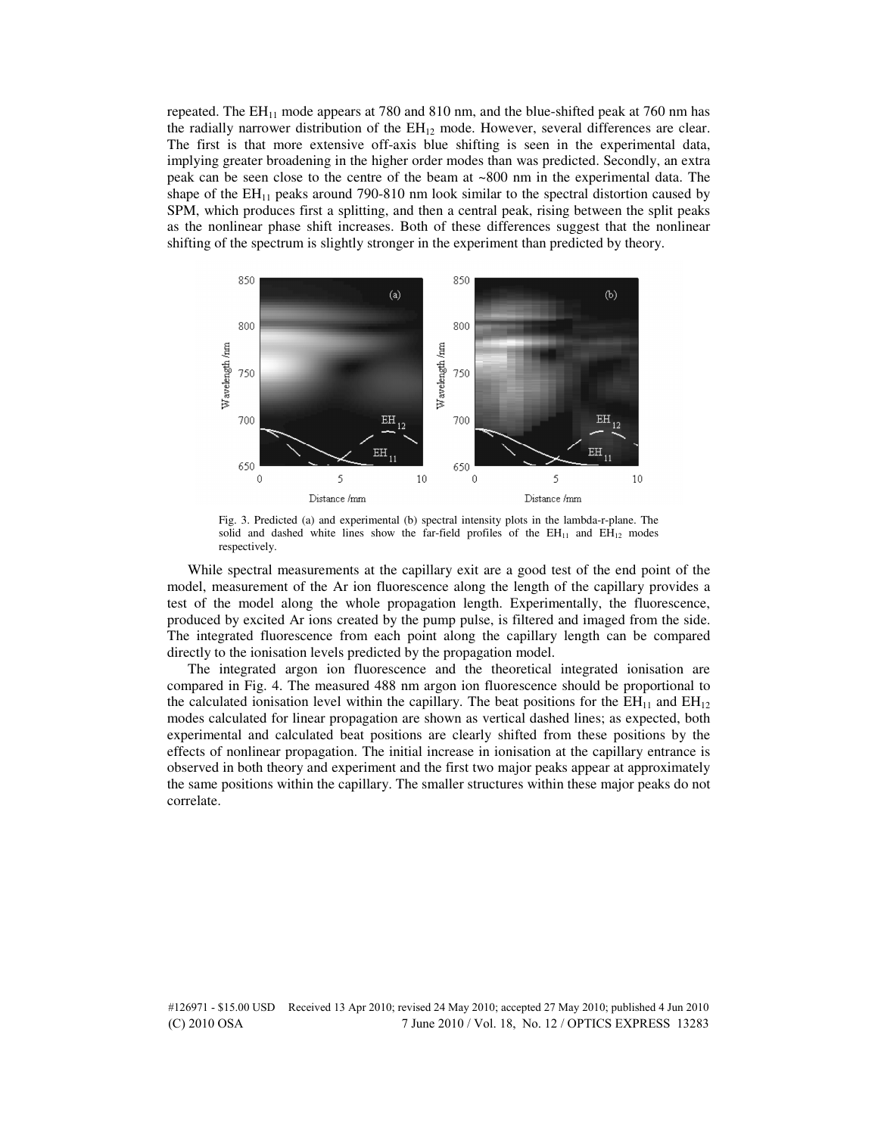repeated. The  $EH_{11}$  mode appears at 780 and 810 nm, and the blue-shifted peak at 760 nm has the radially narrower distribution of the  $EH_{12}$  mode. However, several differences are clear. The first is that more extensive off-axis blue shifting is seen in the experimental data, implying greater broadening in the higher order modes than was predicted. Secondly, an extra peak can be seen close to the centre of the beam at ~800 nm in the experimental data. The shape of the  $EH_{11}$  peaks around 790-810 nm look similar to the spectral distortion caused by SPM, which produces first a splitting, and then a central peak, rising between the split peaks as the nonlinear phase shift increases. Both of these differences suggest that the nonlinear shifting of the spectrum is slightly stronger in the experiment than predicted by theory.



Fig. 3. Predicted (a) and experimental (b) spectral intensity plots in the lambda-r-plane. The solid and dashed white lines show the far-field profiles of the  $EH_{11}$  and  $EH_{12}$  modes respectively.

While spectral measurements at the capillary exit are a good test of the end point of the model, measurement of the Ar ion fluorescence along the length of the capillary provides a test of the model along the whole propagation length. Experimentally, the fluorescence, produced by excited Ar ions created by the pump pulse, is filtered and imaged from the side. The integrated fluorescence from each point along the capillary length can be compared directly to the ionisation levels predicted by the propagation model.

The integrated argon ion fluorescence and the theoretical integrated ionisation are compared in Fig. 4. The measured 488 nm argon ion fluorescence should be proportional to the calculated ionisation level within the capillary. The beat positions for the  $EH_{11}$  and  $EH_{12}$ modes calculated for linear propagation are shown as vertical dashed lines; as expected, both experimental and calculated beat positions are clearly shifted from these positions by the effects of nonlinear propagation. The initial increase in ionisation at the capillary entrance is observed in both theory and experiment and the first two major peaks appear at approximately the same positions within the capillary. The smaller structures within these major peaks do not correlate.